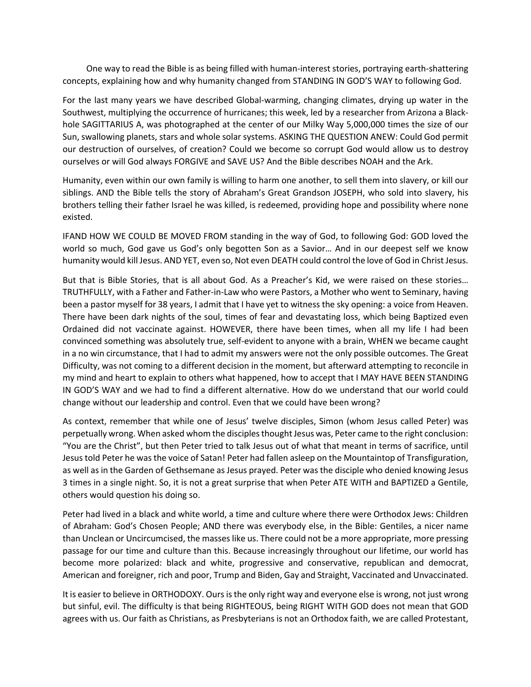One way to read the Bible is as being filled with human-interest stories, portraying earth-shattering concepts, explaining how and why humanity changed from STANDING IN GOD'S WAY to following God.

For the last many years we have described Global-warming, changing climates, drying up water in the Southwest, multiplying the occurrence of hurricanes; this week, led by a researcher from Arizona a Blackhole SAGITTARIUS A, was photographed at the center of our Milky Way 5,000,000 times the size of our Sun, swallowing planets, stars and whole solar systems. ASKING THE QUESTION ANEW: Could God permit our destruction of ourselves, of creation? Could we become so corrupt God would allow us to destroy ourselves or will God always FORGIVE and SAVE US? And the Bible describes NOAH and the Ark.

Humanity, even within our own family is willing to harm one another, to sell them into slavery, or kill our siblings. AND the Bible tells the story of Abraham's Great Grandson JOSEPH, who sold into slavery, his brothers telling their father Israel he was killed, is redeemed, providing hope and possibility where none existed.

IFAND HOW WE COULD BE MOVED FROM standing in the way of God, to following God: GOD loved the world so much, God gave us God's only begotten Son as a Savior… And in our deepest self we know humanity would kill Jesus. AND YET, even so, Not even DEATH could control the love of God in Christ Jesus.

But that is Bible Stories, that is all about God. As a Preacher's Kid, we were raised on these stories… TRUTHFULLY, with a Father and Father-in-Law who were Pastors, a Mother who went to Seminary, having been a pastor myself for 38 years, I admit that I have yet to witness the sky opening: a voice from Heaven. There have been dark nights of the soul, times of fear and devastating loss, which being Baptized even Ordained did not vaccinate against. HOWEVER, there have been times, when all my life I had been convinced something was absolutely true, self-evident to anyone with a brain, WHEN we became caught in a no win circumstance, that I had to admit my answers were not the only possible outcomes. The Great Difficulty, was not coming to a different decision in the moment, but afterward attempting to reconcile in my mind and heart to explain to others what happened, how to accept that I MAY HAVE BEEN STANDING IN GOD'S WAY and we had to find a different alternative. How do we understand that our world could change without our leadership and control. Even that we could have been wrong?

As context, remember that while one of Jesus' twelve disciples, Simon (whom Jesus called Peter) was perpetually wrong. When asked whom the disciples thought Jesus was, Peter came to the right conclusion: "You are the Christ", but then Peter tried to talk Jesus out of what that meant in terms of sacrifice, until Jesus told Peter he was the voice of Satan! Peter had fallen asleep on the Mountaintop of Transfiguration, as well as in the Garden of Gethsemane as Jesus prayed. Peter was the disciple who denied knowing Jesus 3 times in a single night. So, it is not a great surprise that when Peter ATE WITH and BAPTIZED a Gentile, others would question his doing so.

Peter had lived in a black and white world, a time and culture where there were Orthodox Jews: Children of Abraham: God's Chosen People; AND there was everybody else, in the Bible: Gentiles, a nicer name than Unclean or Uncircumcised, the masses like us. There could not be a more appropriate, more pressing passage for our time and culture than this. Because increasingly throughout our lifetime, our world has become more polarized: black and white, progressive and conservative, republican and democrat, American and foreigner, rich and poor, Trump and Biden, Gay and Straight, Vaccinated and Unvaccinated.

It is easier to believe in ORTHODOXY. Ours is the only right way and everyone else is wrong, not just wrong but sinful, evil. The difficulty is that being RIGHTEOUS, being RIGHT WITH GOD does not mean that GOD agrees with us. Our faith as Christians, as Presbyterians is not an Orthodox faith, we are called Protestant,